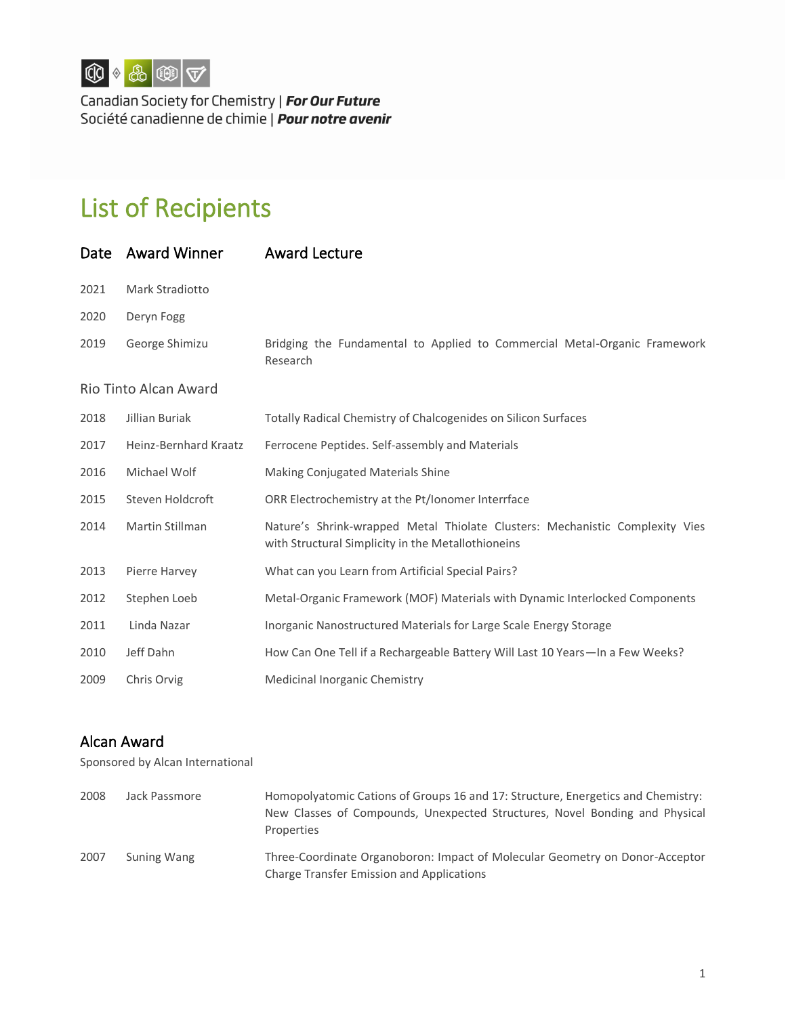

Canadian Society for Chemistry | For Our Future Société canadienne de chimie | Pour notre avenir

## List of Recipients

| Date                  | <b>Award Winner</b>   | <b>Award Lecture</b>                                                                                                               |  |
|-----------------------|-----------------------|------------------------------------------------------------------------------------------------------------------------------------|--|
| 2021                  | Mark Stradiotto       |                                                                                                                                    |  |
| 2020                  | Deryn Fogg            |                                                                                                                                    |  |
| 2019                  | George Shimizu        | Bridging the Fundamental to Applied to Commercial Metal-Organic Framework<br>Research                                              |  |
| Rio Tinto Alcan Award |                       |                                                                                                                                    |  |
| 2018                  | Jillian Buriak        | Totally Radical Chemistry of Chalcogenides on Silicon Surfaces                                                                     |  |
| 2017                  | Heinz-Bernhard Kraatz | Ferrocene Peptides. Self-assembly and Materials                                                                                    |  |
| 2016                  | Michael Wolf          | Making Conjugated Materials Shine                                                                                                  |  |
| 2015                  | Steven Holdcroft      | ORR Electrochemistry at the Pt/Ionomer Interrface                                                                                  |  |
| 2014                  | Martin Stillman       | Nature's Shrink-wrapped Metal Thiolate Clusters: Mechanistic Complexity Vies<br>with Structural Simplicity in the Metallothioneins |  |
| 2013                  | Pierre Harvey         | What can you Learn from Artificial Special Pairs?                                                                                  |  |
| 2012                  | Stephen Loeb          | Metal-Organic Framework (MOF) Materials with Dynamic Interlocked Components                                                        |  |
| 2011                  | Linda Nazar           | Inorganic Nanostructured Materials for Large Scale Energy Storage                                                                  |  |
| 2010                  | Jeff Dahn             | How Can One Tell if a Rechargeable Battery Will Last 10 Years-In a Few Weeks?                                                      |  |
| 2009                  | Chris Orvig           | Medicinal Inorganic Chemistry                                                                                                      |  |

## Alcan Award

Sponsored by Alcan International

| 2008 | Jack Passmore      | Homopolyatomic Cations of Groups 16 and 17: Structure, Energetics and Chemistry:<br>New Classes of Compounds, Unexpected Structures, Novel Bonding and Physical<br>Properties |
|------|--------------------|-------------------------------------------------------------------------------------------------------------------------------------------------------------------------------|
| 2007 | <b>Suning Wang</b> | Three-Coordinate Organoboron: Impact of Molecular Geometry on Donor-Acceptor<br><b>Charge Transfer Emission and Applications</b>                                              |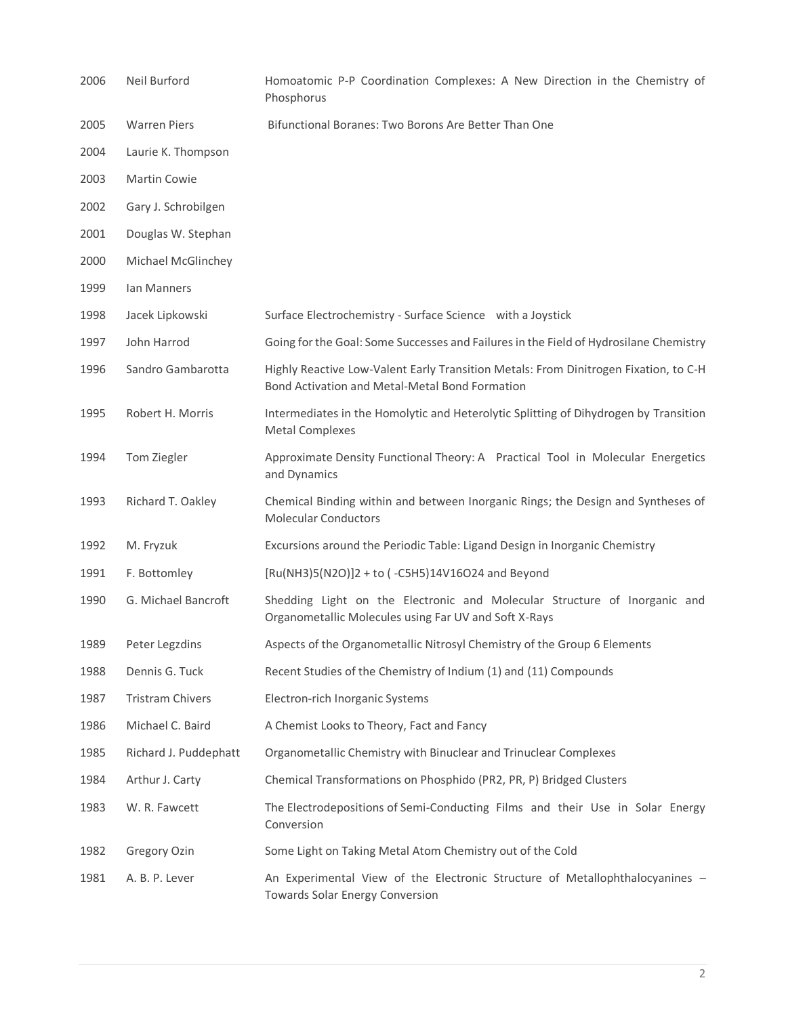| 2006 | Neil Burford            | Homoatomic P-P Coordination Complexes: A New Direction in the Chemistry of<br>Phosphorus                                               |
|------|-------------------------|----------------------------------------------------------------------------------------------------------------------------------------|
| 2005 | <b>Warren Piers</b>     | Bifunctional Boranes: Two Borons Are Better Than One                                                                                   |
| 2004 | Laurie K. Thompson      |                                                                                                                                        |
| 2003 | <b>Martin Cowie</b>     |                                                                                                                                        |
| 2002 | Gary J. Schrobilgen     |                                                                                                                                        |
| 2001 | Douglas W. Stephan      |                                                                                                                                        |
| 2000 | Michael McGlinchey      |                                                                                                                                        |
| 1999 | Ian Manners             |                                                                                                                                        |
| 1998 | Jacek Lipkowski         | Surface Electrochemistry - Surface Science with a Joystick                                                                             |
| 1997 | John Harrod             | Going for the Goal: Some Successes and Failures in the Field of Hydrosilane Chemistry                                                  |
| 1996 | Sandro Gambarotta       | Highly Reactive Low-Valent Early Transition Metals: From Dinitrogen Fixation, to C-H<br>Bond Activation and Metal-Metal Bond Formation |
| 1995 | Robert H. Morris        | Intermediates in the Homolytic and Heterolytic Splitting of Dihydrogen by Transition<br><b>Metal Complexes</b>                         |
| 1994 | Tom Ziegler             | Approximate Density Functional Theory: A Practical Tool in Molecular Energetics<br>and Dynamics                                        |
| 1993 | Richard T. Oakley       | Chemical Binding within and between Inorganic Rings; the Design and Syntheses of<br><b>Molecular Conductors</b>                        |
| 1992 | M. Fryzuk               | Excursions around the Periodic Table: Ligand Design in Inorganic Chemistry                                                             |
| 1991 | F. Bottomley            | [Ru(NH3)5(N2O)]2 + to (-C5H5)14V16O24 and Beyond                                                                                       |
| 1990 | G. Michael Bancroft     | Shedding Light on the Electronic and Molecular Structure of Inorganic and<br>Organometallic Molecules using Far UV and Soft X-Rays     |
| 1989 | Peter Legzdins          | Aspects of the Organometallic Nitrosyl Chemistry of the Group 6 Elements                                                               |
| 1988 | Dennis G. Tuck          | Recent Studies of the Chemistry of Indium (1) and (11) Compounds                                                                       |
| 1987 | <b>Tristram Chivers</b> | Electron-rich Inorganic Systems                                                                                                        |
| 1986 | Michael C. Baird        | A Chemist Looks to Theory, Fact and Fancy                                                                                              |
| 1985 | Richard J. Puddephatt   | Organometallic Chemistry with Binuclear and Trinuclear Complexes                                                                       |
| 1984 | Arthur J. Carty         | Chemical Transformations on Phosphido (PR2, PR, P) Bridged Clusters                                                                    |
| 1983 | W. R. Fawcett           | The Electrodepositions of Semi-Conducting Films and their Use in Solar Energy<br>Conversion                                            |
| 1982 | Gregory Ozin            | Some Light on Taking Metal Atom Chemistry out of the Cold                                                                              |
| 1981 | A. B. P. Lever          | An Experimental View of the Electronic Structure of Metallophthalocyanines -<br>Towards Solar Energy Conversion                        |